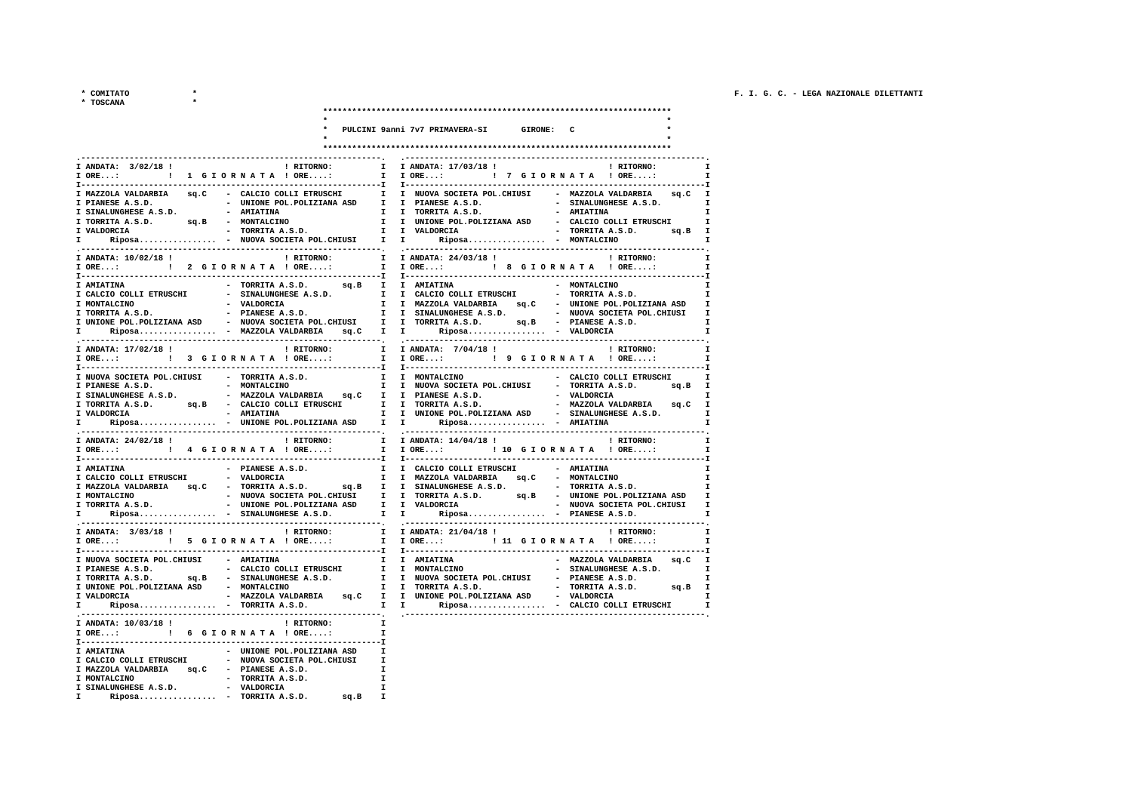| * COMITATO<br>* TOSCANA                                                                                                                                                                                                                                                                       |                                                                                                                                                                |                                                                                                                                                                                                                          |                                                                                                    |                                                                              |
|-----------------------------------------------------------------------------------------------------------------------------------------------------------------------------------------------------------------------------------------------------------------------------------------------|----------------------------------------------------------------------------------------------------------------------------------------------------------------|--------------------------------------------------------------------------------------------------------------------------------------------------------------------------------------------------------------------------|----------------------------------------------------------------------------------------------------|------------------------------------------------------------------------------|
|                                                                                                                                                                                                                                                                                               |                                                                                                                                                                | PULCINI 9anni 7v7 PRIMAVERA-SI GIRONE: C                                                                                                                                                                                 |                                                                                                    |                                                                              |
|                                                                                                                                                                                                                                                                                               |                                                                                                                                                                |                                                                                                                                                                                                                          |                                                                                                    |                                                                              |
|                                                                                                                                                                                                                                                                                               |                                                                                                                                                                |                                                                                                                                                                                                                          |                                                                                                    |                                                                              |
| I ANDATA: 3/02/18 !<br>I ORE: ! 1 G I O R N A T A ! ORE:                                                                                                                                                                                                                                      |                                                                                                                                                                | ! RITORNO: I I ANDATA: 17/03/18 !<br>I IORE: ! 7 GIORNATA ! ORE:                                                                                                                                                         |                                                                                                    | ! RITORNO:<br>I<br>$\mathbf{I}$                                              |
| I MAZZOLA VALDARBIA sq.C<br>I PIANESE A.S.D.<br>I SINALUNGHESE A.S.D. - AMIATINA<br>I TORRITA A.S.D. sq.B - MONTALCINO<br>I VALDORCIA<br>Riposa - NUOVA SOCIETA POL.CHIUSI I<br>I.                                                                                                            | - CALCIO COLLI ETRUSCHI<br>- TORRITA A.S.D.                                                                                                                    | I I NUOVA SOCIETA POL.CHIUSI<br>- UNIONE POL.POLIZIANA ASD I I PIANESE A.S.D.<br>I I TORRITA A.S.D.<br>I I UNIONE POL. POLIZIANA ASD - CALCIO COLLI ETRUSCHI<br>I I VALDORCIA<br>I.<br>Riposa - MONTALCINO               | - MAZZOLA VALDARBIA<br>- SINALUNGHESE A.S.D.<br>- AMIATINA<br>- TORRITA A.S.D. sq.B I              | --------T<br>sq.C<br>I<br>I<br>I<br>$\mathbf{I}$<br>$\mathbf{I}$<br>-------. |
| I ANDATA: 10/02/18 !<br>I ORE: I 2 G I O R N A T A ! ORE:                                                                                                                                                                                                                                     | ! RITORNO:<br>$\mathbf{I}$                                                                                                                                     | I ANDATA: 24/03/18 !<br>I IORE: ! 8 GIORNATA ! ORE:                                                                                                                                                                      |                                                                                                    | ! RITORNO:<br>$\mathbf{I}$<br>$\mathbf{r}$                                   |
| I-----------<br>I AMIATINA<br>I CALCIO COLLI ETRUSCHI<br>I MONTALCINO<br>I TORRITA A.S.D.<br>I UNIONE POL.POLIZIANA ASD - NUOVA SOCIETA POL.CHIUSI I I TORRITA A.S.D. sq.B - PIANESE A.S.D.<br>Riposa - MAZZOLA VALDARBIA sq.C I<br>I.                                                        | - TORRITA A.S.D.<br>- VALDORCIA<br>- PIANESE A.S.D.                                                                                                            | sq.B I I AMIATINA<br>- SINALUNGHESE A.S.D. I I CALCIO COLLI ETRUSCHI<br>WALDORGIA<br>I I MAZZOLA VALDARBIA sq.C - UNIONE POL.POLIZIANA ASD<br>I I SINALUNGHESE A.S.D. - NUOVA SOCIETA POL.CHIUSI<br>I Riposa - VALDORCIA | - MONTALCINO<br>- TORRITA A.S.D.                                                                   | $\mathbf{I}$<br>I<br>I<br>I<br>I<br>$\mathbf{I}$                             |
| I ANDATA: 17/02/18 !                                                                                                                                                                                                                                                                          | ! RITORNO:<br>$\mathbf{I}$<br>-------I                                                                                                                         | I IANDATA: 7/04/18 !<br>I ORE: : ! 9 G I O R N A T A ! ORE:<br>$I$ ----------                                                                                                                                            | --------------------------------------                                                             | ! RITORNO:<br>$\mathbf{I}$<br>$\mathbf{I}$<br>----I                          |
| I NUOVA SOCIETA POL.CHIUSI<br>- TORRITA A.S.D.<br>I PIANESE A.S.D.<br>- MONTALCINO<br>Riposa - UNIONE POL.POLIZIANA ASD I<br>$\mathbf{I}$ and $\mathbf{I}$                                                                                                                                    |                                                                                                                                                                | I I MONTALCINO<br>I I NUOVA SOCIETA POL.CHIUSI - TORRITA A.S.D.<br>$\mathbf{I}$ and $\mathbf{I}$                                                                                                                         | - CALCIO COLLI ETRUSCHI<br>- VALDORCIA<br>$Riposa$ - AMIATINA                                      | I<br>sq.B I<br>I<br>$\mathbf{I}$                                             |
| I ANDATA: 24/02/18 !<br>I ORE: ! 4 G I OR N A T A ! ORE:                                                                                                                                                                                                                                      | $- - 1$<br>! RITORNO:<br>$\mathbf{I}$<br>$\mathbf{I}$                                                                                                          | . ----------------------------------<br>I ANDATA: 14/04/18 !<br>I ORE: : 10 G I O R N A T A ! ORE:                                                                                                                       |                                                                                                    | ! RITORNO:<br>I<br>$\mathbf{I}$                                              |
| <b>T---------------</b><br>I AMIATINA<br>- PIANESE A.S.D.<br>I CALCIO COLLI ETRUSCHI - VALDORCIA<br>I MAZZOLA VALDARBIA sq.C - TORRITA A.S.D. sq.B I I SINALUNGHESE A.S.D. - TORRITA A.S.D.<br>I MONTALCINO<br>I TORRITA A.S.D.<br>Riposa - SINALUNGHESE A.S.D.                               | - UNIONE POL. POLIZIANA ASD I I VALDORCIA                                                                                                                      | I I CALCIO COLLI ETRUSCHI   - AMIATINA<br>I I MAZZOLA VALDARBIA sq.C - MONTALCINO<br>- NUOVA SOCIETA POL.CHIUSI II I TORRITA A.S.D.<br>$\mathbf{I}$ $\mathbf{I}$                                                         | sq.B - UNIONE POL.POLIZIANA ASD<br>- NUOVA SOCIETA POL.CHIUSI<br>Riposa - PIANESE A.S.D.           | $\mathbf{I}$<br>I<br>I<br>$\mathbf{I}$<br>I<br>$\mathbf{I}$                  |
| I ANDATA: $3/03/18$ !<br>$I$ ORE:<br>! 5 GIORNATA ! ORE:                                                                                                                                                                                                                                      | -----<br>$\mathbf{I}$<br>! RITORNO:<br>$\mathbf{I}$                                                                                                            | I ANDATA: 21/04/18 !<br>I ORE: : : : ! 11 G I O R N A T A ! ORE:                                                                                                                                                         |                                                                                                    | ! RITORNO:<br>I<br>$\mathbf{I}$                                              |
| I NUOVA SOCIETA POL. CHIUSI - AMIATINA<br>I PIANESE A.S.D.<br>T TORRITA A.S.D. SQ.B - CALCAD UNIL EIRUSCHI<br>I TORRITA A.S.D. SQ.B - SINALUNGHESE A.S.D.<br>I UNIONE POL.POLIZIANA ASD - MONTALCINO<br>I VALDORCIA<br>I Riposa - TORRITA A.S.D.       I I     Riposa - CALCIO COLLI ETRUSCHI | --------------T<br>- CALCIO COLLI ETRUSCHI                                                                                                                     | I I AMIATINA<br>I I MONTALCINO<br>I I NUOVA SOCIETA POL. CHIUSI - PIANESE A.S.D.<br>I I TORRITA A.S.D.<br>- MAZZOLA VALDARBIA sq.C I I UNIONE POL.POLIZIANA ASD - VALDORCIA                                              | - MAZZOLA VALDARBIA sq.C I<br>- SINALUNGHESE A.S.D.<br>DIANESE A S.D.<br>- TORRITA A.S.D. $sq.B$ I | I<br>I<br>I                                                                  |
| I ANDATA: 10/03/18 !<br>I ORE: ! 6 G I O R N A T A ! ORE:<br>$I - - - - - - - - - -$<br><b>I AMIATINA</b><br>I CALCIO COLLI ETRUSCHI - NUOVA SOCIETA POL.CHIUSI<br>I MAZZOLA VALDARBIA sq.C - PIANESE A.S.D.<br>$Riposa$ - TORRITA A.S.D.<br>$\mathbf{I}$ and $\mathbf{I}$                    | $\mathbf I$<br>! RITORNO:<br>$\mathbf I$<br>- UNIONE POL.POLIZIANA ASD<br>$\mathbf{T}$<br>I<br>$\mathbf I$<br><b>I</b><br>$\mathbf{I}$<br>sq.B<br>$\mathbf{I}$ |                                                                                                                                                                                                                          |                                                                                                    |                                                                              |